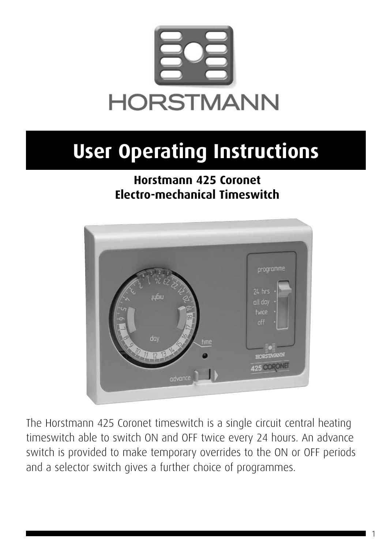

# **User Operating Instructions**

### **Horstmann 425 Coronet Electro-mechanical Timeswitch**



The Horstmann 425 Coronet timeswitch is a single circuit central heating timeswitch able to switch ON and OFF twice every 24 hours. An advance switch is provided to make temporary overrides to the ON or OFF periods and a selector switch gives a further choice of programmes.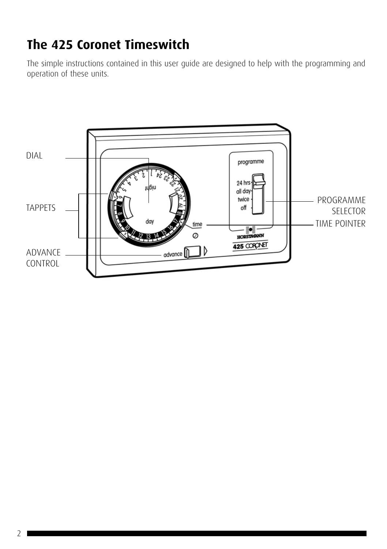# **The 425 Coronet Timeswitch**

The simple instructions contained in this user guide are designed to help with the programming and operation of these units.

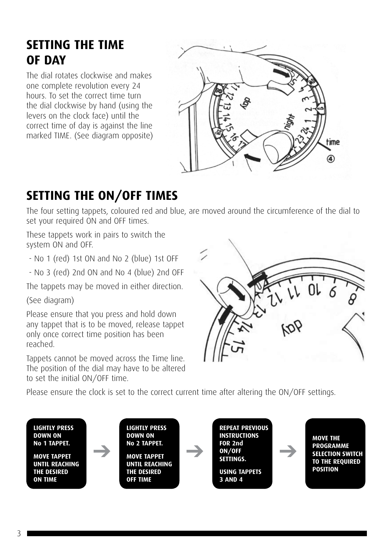# **SETTING THE TIME OF DAY**

The dial rotates clockwise and makes one complete revolution every 24 hours. To set the correct time turn the dial clockwise by hand (using the levers on the clock face) until the correct time of day is against the line marked TIME. (See diagram opposite)



# **SETTING THE ON/OFF TIMES**

The four setting tappets, coloured red and blue, are moved around the circumference of the dial to set your required ON and OFF times.

These tappets work in pairs to switch the system ON and OFF.

- No 1 (red) 1st ON and No 2 (blue) 1st OFF

- No 3 (red) 2nd ON and No 4 (blue) 2nd OFF

The tappets may be moved in either direction.

(See diagram)

Please ensure that you press and hold down any tappet that is to be moved, release tappet only once correct time position has been reached.

Tappets cannot be moved across the Time line. The position of the dial may have to be altered to set the initial ON/OFF time.



Please ensure the clock is set to the correct current time after altering the ON/OFF settings.

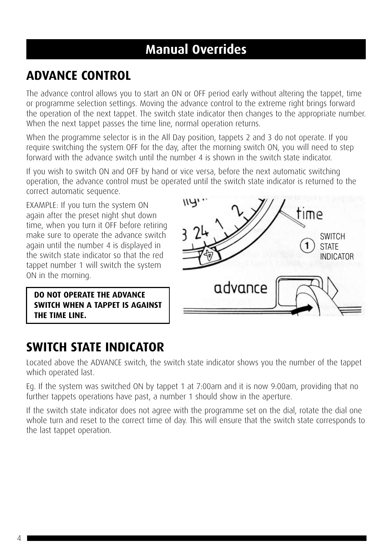# **Manual Overrides**

## **ADVANCE CONTROL**

The advance control allows you to start an ON or OFF period early without altering the tappet, time or programme selection settings. Moving the advance control to the extreme right brings forward the operation of the next tappet. The switch state indicator then changes to the appropriate number. When the next tappet passes the time line, normal operation returns.

When the programme selector is in the All Day position, tappets 2 and 3 do not operate. If you require switching the system OFF for the day, after the morning switch ON, you will need to step forward with the advance switch until the number 4 is shown in the switch state indicator.

If you wish to switch ON and OFF by hand or vice versa, before the next automatic switching operation, the advance control must be operated until the switch state indicator is returned to the correct automatic sequence.

EXAMPLE: If you turn the system ON again after the preset night shut down time, when you turn it OFF before retiring make sure to operate the advance switch again until the number 4 is displayed in the switch state indicator so that the red tappet number 1 will switch the system ON in the morning.

**DO NOT OPERATE THE ADVANCE SWITCH WHEN A TAPPET IS AGAINST THE TIME LINE.**



#### **SWITCH STATE INDICATOR**

Located above the ADVANCE switch, the switch state indicator shows you the number of the tappet which operated last.

Eg. If the system was switched ON by tappet 1 at 7:00am and it is now 9:00am, providing that no further tappets operations have past, a number 1 should show in the aperture.

If the switch state indicator does not agree with the programme set on the dial, rotate the dial one whole turn and reset to the correct time of day. This will ensure that the switch state corresponds to the last tappet operation.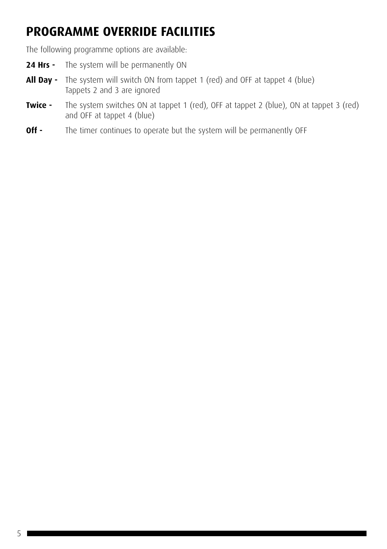# **PROGRAMME OVERRIDE FACILITIES**

The following programme options are available:

- 24 Hrs The system will be permanently ON
- **All Day -** The system will switch ON from tappet 1 (red) and OFF at tappet 4 (blue) Tappets 2 and 3 are ignored
- **Twice -** The system switches ON at tappet 1 (red), OFF at tappet 2 (blue), ON at tappet 3 (red) and OFF at tappet 4 (blue)
- **Off -** The timer continues to operate but the system will be permanently OFF